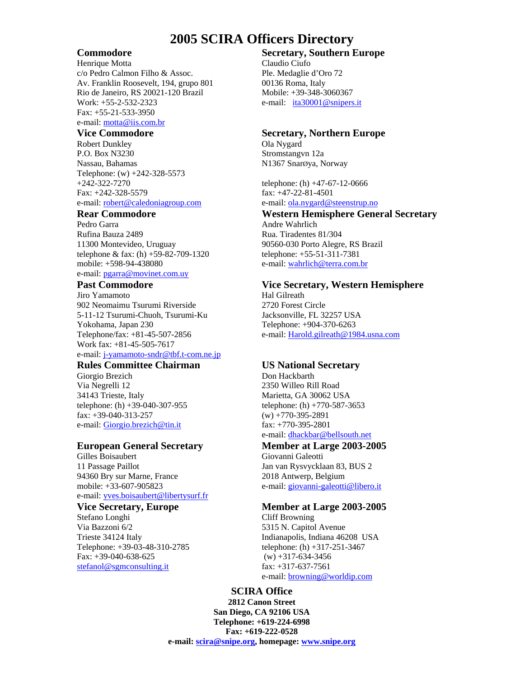# **2005 SCIRA Officers Directory**

Henrique Motta Claudio Ciufo c/o Pedro Calmon Filho & Assoc. Ple. Medaglie d'Oro 72 Av. Franklin Roosevelt, 194, grupo 801 00136 Roma, Italy Rio de Janeiro, RS 20021-120 Brazil Mobile: +39-348-3060367 Work: +55-2-532-2323 e-mail: ita30001@snipers.it Fax: +55-21-533-3950 e-mail: [motta@iis.com.br](mailto:motta@iis.com.br) 

Robert Dunkley Ola Nygard P.O. Box N3230 Stromstangvn 12a Nassau, Bahamas N1367 SnarØya, Norway Telephone: (w) +242-328-5573 +242-322-7270 telephone: (h) +47-67-12-0666 Fax: +242-328-5579 fax: +47-22-81-4501

Pedro Garra **Andre Wahrlich** Rufina Bauza 2489 Rua. Tiradentes 81/304 11300 Montevideo, Uruguay 90560-030 Porto Alegre, RS Brazil telephone & fax: (h) +59-82-709-1320 telephone: +55-51-311-7381 mobile: +598-94-438080 e-mail: [wahrlich@terra.com.br](mailto:fgarrafa@tpn.com.br) e-mail: [pgarra@movinet.com.uy](mailto:pgarra@movinet.com.uy) 

Jiro Yamamoto Hal Gilreath 902 Neomaimu Tsurumi Riverside 2720 Forest Circle 5-11-12 Tsurumi-Chuoh, Tsurumi-Ku Jacksonville, FL 32257 USA Yokohama, Japan 230 Telephone: +904-370-6263 Telephone/fax: +81-45-507-2856 e-mail: [Harold.gilreath@1984.usna.com](mailto:Harold.gilreath@1984.usna.com) Work fax: +81-45-505-7617 e-mail: [j-yamamoto-sndr@tbf.t-com.ne.jp](mailto:j-yamamoto-sndr@tbf.t-com.ne.jp)

### **Rules Committee Chairman VS National Secretary**

Giorgio Brezich Don Hackbarth Via Negrelli 12 2350 Willeo Rill Road 34143 Trieste, Italy Marietta, GA 30062 USA telephone: (h) +39-040-307-955 telephone: (h) +770-587-3653 fax:  $+39-040-313-257$  (w)  $+770-395-2891$ e-mail: [Giorgio.brezich@tin.it](mailto:Giorgio.brezich@tin.it) fax: +770-395-2801

### **European General Secretary Member at Large 2003-2005**

Gilles Boisaubert Giovanni Galeotti 11 Passage Paillot Jan van Rysvycklaan 83, BUS 2 94360 Bry sur Marne, France 2018 Antwerp, Belgium mobile: +33-607-905823 e-mail: [giovanni-galeotti@libero.it](mailto:dina.debock@skynet.be) e-mail: [yves.boisaubert@libertysurf.fr](mailto:yves.boisaubert@libertysurf.fr)

Stefano Longhi Cliff Browning Via Bazzoni 6/2 5315 N. Capitol Avenue Telephone: +39-03-48-310-2785 telephone: (h) +317-251-3467 Fax:  $+39-040-638-625$  (w)  $+317-634-3456$ [stefanol@sgmconsulting.it](mailto:stefanol@sgmconsulting.it) fax: +317-637-7561

# **Commodore Secretary, Southern Europe**

### **Vice Commodore Secretary, Northern Europe**

e-mail: [robert@caledoniagroup.com](mailto:robert@caledoniagroup.com) e-mail: [ola.nygard@steenstrup.no](mailto:ola.nygard@steenstrup.no)

### **Rear Commodore Western Hemisphere General Secretary**

### **Past Commodore Vice Secretary, Western Hemisphere**

e-mail: dhackbar@bellsouth.net

### **Vice Secretary, Europe Member at Large 2003-2005**

Trieste 34124 Italy Indianapolis, Indiana 46208 USA e-mail: **[browning@worldip.com](mailto:browning@worldip.com)** 

# **SCIRA Office**

**2812 Canon Street San Diego, CA 92106 USA Telephone: +619-224-6998 Fax: +619-222-0528 e-mail: scira@snipe.org, homepage: www.snipe.org**